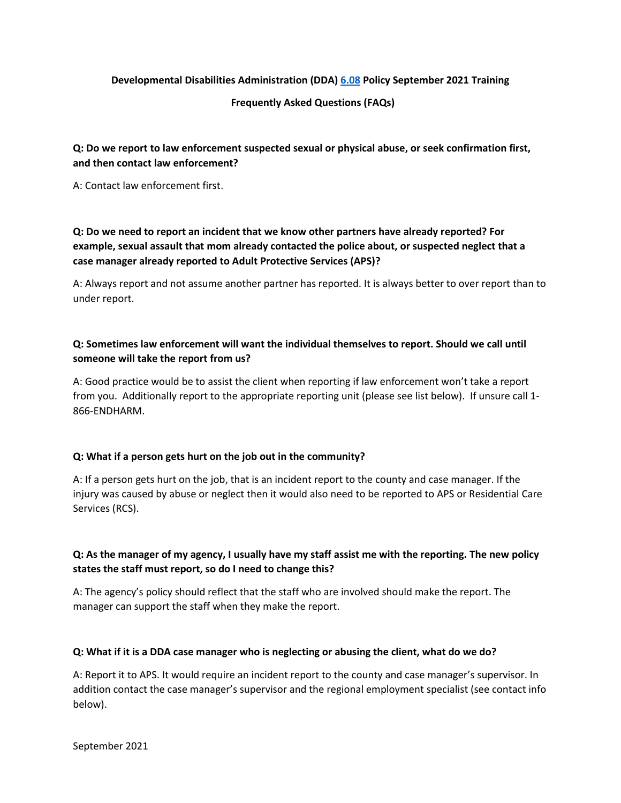### **Developmental Disabilities Administration (DDA) [6.08](https://www.dshs.wa.gov/sites/default/files/DDA/dda/documents/policy/policy6.08.pdf) Policy September 2021 Training**

#### **Frequently Asked Questions (FAQs)**

### **Q: Do we report to law enforcement suspected sexual or physical abuse, or seek confirmation first, and then contact law enforcement?**

A: Contact law enforcement first.

# **Q: Do we need to report an incident that we know other partners have already reported? For example, sexual assault that mom already contacted the police about, or suspected neglect that a case manager already reported to Adult Protective Services (APS)?**

A: Always report and not assume another partner has reported. It is always better to over report than to under report.

# **Q: Sometimes law enforcement will want the individual themselves to report. Should we call until someone will take the report from us?**

A: Good practice would be to assist the client when reporting if law enforcement won't take a report from you. Additionally report to the appropriate reporting unit (please see list below). If unsure call 1- 866-ENDHARM.

### **Q: What if a person gets hurt on the job out in the community?**

A: If a person gets hurt on the job, that is an incident report to the county and case manager. If the injury was caused by abuse or neglect then it would also need to be reported to APS or Residential Care Services (RCS).

### **Q: As the manager of my agency, I usually have my staff assist me with the reporting. The new policy states the staff must report, so do I need to change this?**

A: The agency's policy should reflect that the staff who are involved should make the report. The manager can support the staff when they make the report.

### **Q: What if it is a DDA case manager who is neglecting or abusing the client, what do we do?**

A: Report it to APS. It would require an incident report to the county and case manager's supervisor. In addition contact the case manager's supervisor and the regional employment specialist (see contact info below).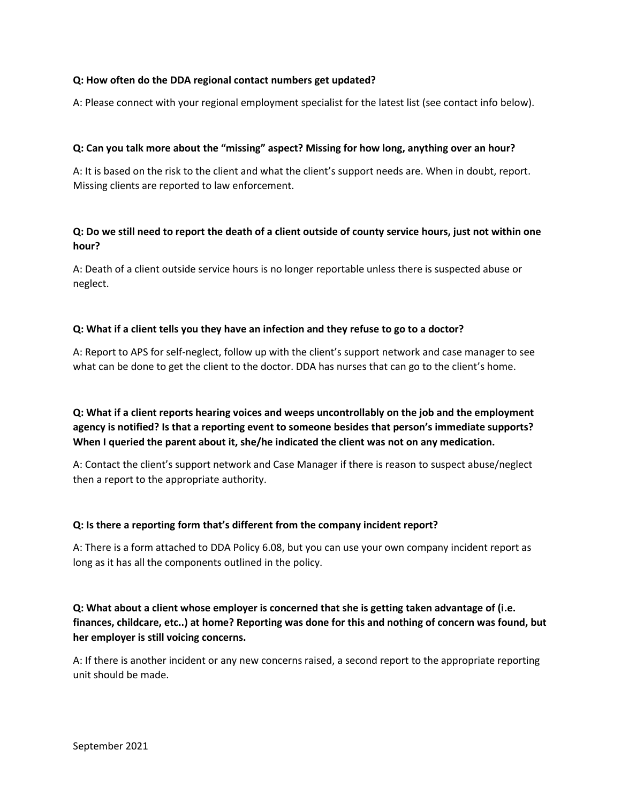### **Q: How often do the DDA regional contact numbers get updated?**

A: Please connect with your regional employment specialist for the latest list (see contact info below).

### **Q: Can you talk more about the "missing" aspect? Missing for how long, anything over an hour?**

A: It is based on the risk to the client and what the client's support needs are. When in doubt, report. Missing clients are reported to law enforcement.

### **Q: Do we still need to report the death of a client outside of county service hours, just not within one hour?**

A: Death of a client outside service hours is no longer reportable unless there is suspected abuse or neglect.

### **Q: What if a client tells you they have an infection and they refuse to go to a doctor?**

A: Report to APS for self-neglect, follow up with the client's support network and case manager to see what can be done to get the client to the doctor. DDA has nurses that can go to the client's home.

**Q: What if a client reports hearing voices and weeps uncontrollably on the job and the employment agency is notified? Is that a reporting event to someone besides that person's immediate supports? When I queried the parent about it, she/he indicated the client was not on any medication.** 

A: Contact the client's support network and Case Manager if there is reason to suspect abuse/neglect then a report to the appropriate authority.

### **Q: Is there a reporting form that's different from the company incident report?**

A: There is a form attached to DDA Policy 6.08, but you can use your own company incident report as long as it has all the components outlined in the policy.

# **Q: What about a client whose employer is concerned that she is getting taken advantage of (i.e. finances, childcare, etc..) at home? Reporting was done for this and nothing of concern was found, but her employer is still voicing concerns.**

A: If there is another incident or any new concerns raised, a second report to the appropriate reporting unit should be made.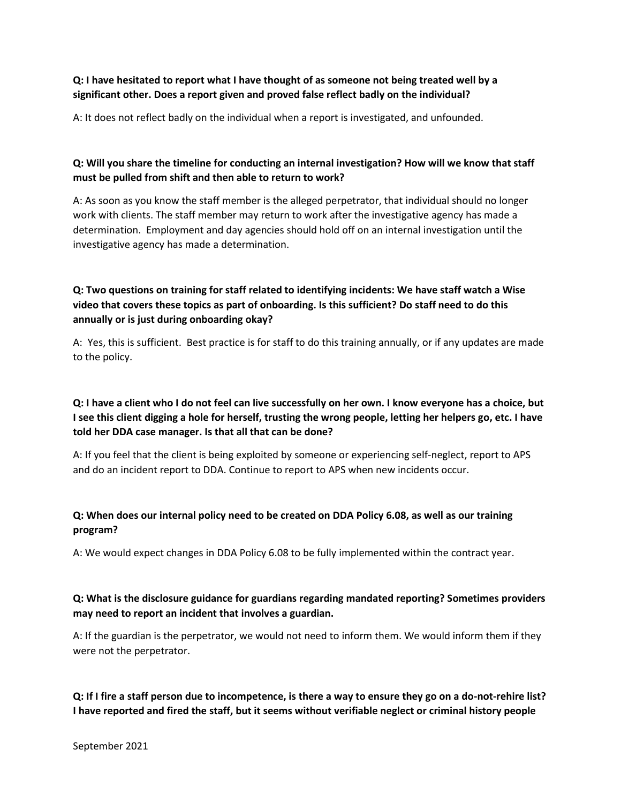### **Q: I have hesitated to report what I have thought of as someone not being treated well by a significant other. Does a report given and proved false reflect badly on the individual?**

A: It does not reflect badly on the individual when a report is investigated, and unfounded.

## **Q: Will you share the timeline for conducting an internal investigation? How will we know that staff must be pulled from shift and then able to return to work?**

A: As soon as you know the staff member is the alleged perpetrator, that individual should no longer work with clients. The staff member may return to work after the investigative agency has made a determination. Employment and day agencies should hold off on an internal investigation until the investigative agency has made a determination.

# **Q: Two questions on training for staff related to identifying incidents: We have staff watch a Wise video that covers these topics as part of onboarding. Is this sufficient? Do staff need to do this annually or is just during onboarding okay?**

A: Yes, this is sufficient. Best practice is for staff to do this training annually, or if any updates are made to the policy.

# **Q: I have a client who I do not feel can live successfully on her own. I know everyone has a choice, but I see this client digging a hole for herself, trusting the wrong people, letting her helpers go, etc. I have told her DDA case manager. Is that all that can be done?**

A: If you feel that the client is being exploited by someone or experiencing self-neglect, report to APS and do an incident report to DDA. Continue to report to APS when new incidents occur.

# **Q: When does our internal policy need to be created on DDA Policy 6.08, as well as our training program?**

A: We would expect changes in DDA Policy 6.08 to be fully implemented within the contract year.

## **Q: What is the disclosure guidance for guardians regarding mandated reporting? Sometimes providers may need to report an incident that involves a guardian.**

A: If the guardian is the perpetrator, we would not need to inform them. We would inform them if they were not the perpetrator.

# **Q: If I fire a staff person due to incompetence, is there a way to ensure they go on a do-not-rehire list? I have reported and fired the staff, but it seems without verifiable neglect or criminal history people**